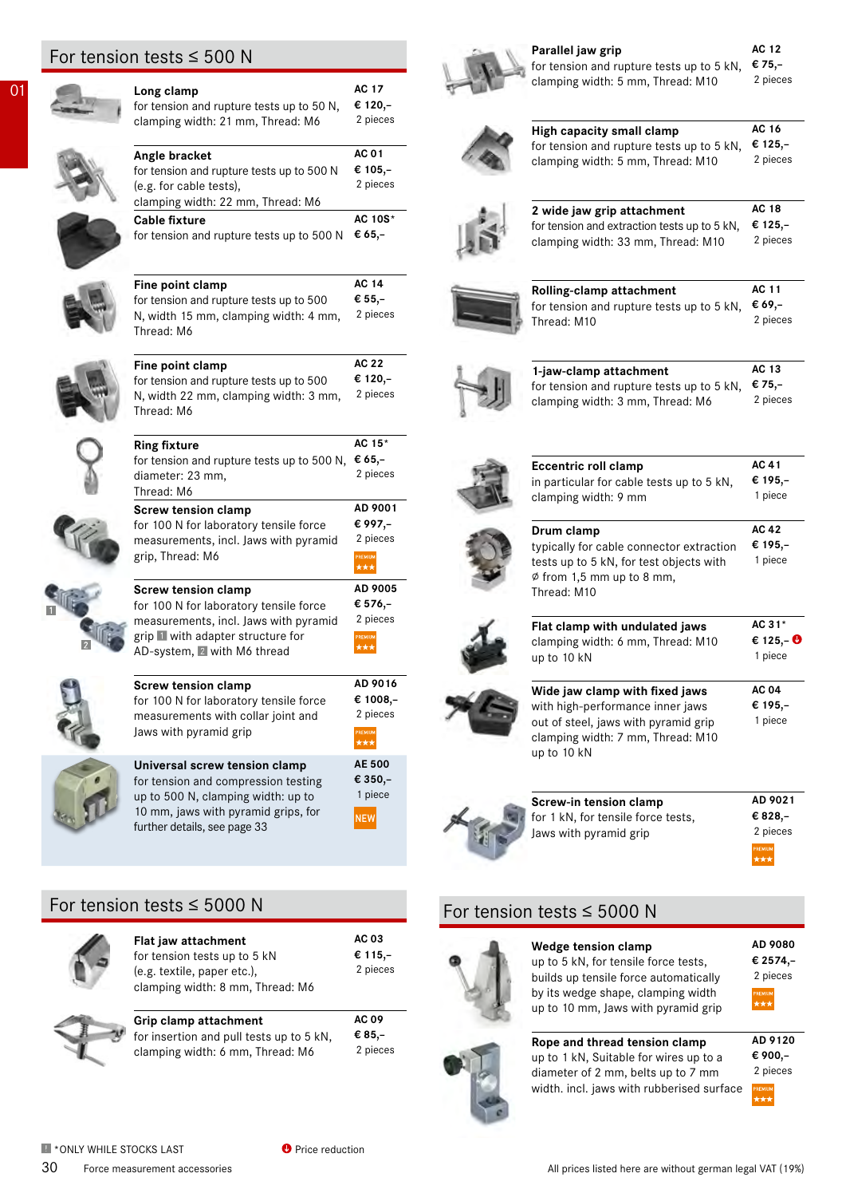# For tension tests  $\leq 500$  N

| 01 | Long clamp<br>for tension and rupture tests up to 50 N,<br>clamping width: 21 mm, Thread: M6                                                                                      | AC 17<br>€ 120,-<br>2 pieces                      |
|----|-----------------------------------------------------------------------------------------------------------------------------------------------------------------------------------|---------------------------------------------------|
|    | Angle bracket<br>for tension and rupture tests up to 500 N<br>(e.g. for cable tests),<br>clamping width: 22 mm, Thread: M6                                                        | AC 01<br>€ 105,–<br>2 pieces                      |
|    | <b>Cable fixture</b><br>for tension and rupture tests up to 500 N                                                                                                                 | AC 10S*<br>€ 65,–                                 |
|    | Fine point clamp<br>for tension and rupture tests up to 500<br>N, width 15 mm, clamping width: 4 mm,<br>Thread: M6                                                                | <b>AC 14</b><br>€ 55,–<br>2 pieces                |
|    | Fine point clamp<br>for tension and rupture tests up to 500<br>N, width 22 mm, clamping width: 3 mm,<br>Thread: M6                                                                | AC 22<br>€ 120,-<br>2 pieces                      |
|    | <b>Ring fixture</b><br>for tension and rupture tests up to 500 N,<br>diameter: 23 mm,<br>Thread: M6                                                                               | AC 15*<br>€ 65,–<br>2 pieces                      |
|    | <b>Screw tension clamp</b><br>for 100 N for laboratory tensile force<br>measurements, incl. Jaws with pyramid<br>grip, Thread: M6                                                 | AD 9001<br>€ 997,–<br>2 pieces<br>PREMIUM         |
|    | <b>Screw tension clamp</b><br>for 100 N for laboratory tensile force<br>measurements, incl. Jaws with pyramid<br>grip With adapter structure for<br>AD-system, 2 with M6 thread   | AD 9005<br>€ 576,-<br>2 pieces<br>PREMIUM<br>***  |
|    | <b>Screw tension clamp</b><br>for 100 N for laboratory tensile force<br>measurements with collar joint and<br>Jaws with pyramid grip                                              | AD 9016<br>€ 1008,–<br>2 pieces<br>PREMIUM<br>*** |
|    | Universal screw tension clamp<br>for tension and compression testing<br>up to 500 N, clamping width: up to<br>10 mm, jaws with pyramid grips, for<br>further details, see page 33 | AE 500<br>€ 350,-<br>1 piece<br><b>NEW</b>        |

| Parallel jaw grip                                                                                                                                              | AC 12                       |
|----------------------------------------------------------------------------------------------------------------------------------------------------------------|-----------------------------|
| for tension and rupture tests up to 5 kN,                                                                                                                      | € 75,-                      |
| clamping width: 5 mm, Thread: M10                                                                                                                              | 2 pieces                    |
| High capacity small clamp                                                                                                                                      | AC 16                       |
| for tension and rupture tests up to 5 kN,                                                                                                                      | € 125,–                     |
| clamping width: 5 mm, Thread: M10                                                                                                                              | 2 pieces                    |
| 2 wide jaw grip attachment                                                                                                                                     | AC 18                       |
| for tension and extraction tests up to 5 kN,                                                                                                                   | € 125,-                     |
| clamping width: 33 mm, Thread: M10                                                                                                                             | 2 pieces                    |
| Rolling-clamp attachment                                                                                                                                       | AC 11                       |
| for tension and rupture tests up to 5 kN,                                                                                                                      | € 69,–                      |
| Thread: M10                                                                                                                                                    | 2 pieces                    |
| 1-jaw-clamp attachment                                                                                                                                         | AC 13                       |
| for tension and rupture tests up to 5 kN,                                                                                                                      | € 75,–                      |
| clamping width: 3 mm, Thread: M6                                                                                                                               | 2 pieces                    |
| <b>Eccentric roll clamp</b>                                                                                                                                    | AC 41                       |
| in particular for cable tests up to 5 kN,                                                                                                                      | € 195,-                     |
| clamping width: 9 mm                                                                                                                                           | 1 piece                     |
| Drum clamp<br>typically for cable connector extraction<br>tests up to 5 kN, for test objects with<br>$\emptyset$ from 1,5 mm up to 8 mm,<br>Thread: M10        | AC 42<br>€ 195,-<br>1 piece |
| Flat clamp with undulated jaws                                                                                                                                 | AC 31*                      |
| clamping width: 6 mm, Thread: M10                                                                                                                              | € 125,– <b><sup>O</sup></b> |
| up to 10 kN                                                                                                                                                    | 1 piece                     |
| Wide jaw clamp with fixed jaws<br>with high-performance inner jaws<br>out of steel, jaws with pyramid grip<br>clamping width: 7 mm, Thread: M10<br>up to 10 kN | AC 04<br>€ 195,–<br>1 piece |
|                                                                                                                                                                |                             |



**AD 9021 € 828,– Screw-in tension clamp** for 1 kN, for tensile force tests, Jaws with pyramid grip

**AD 9080 € 2574,–**

2 pieces

°™™

# For tension tests ≤ 5000 N

| Flat jaw attachment              | <b>AC 03</b> |
|----------------------------------|--------------|
| for tension tests up to 5 kN     | € 115,-      |
| (e.g. textile, paper etc.),      | 2 pieces     |
| clamping width: 8 mm, Thread: M6 |              |
|                                  |              |



| Grip clamp attachment                    | <b>AC 09</b> |
|------------------------------------------|--------------|
| for insertion and pull tests up to 5 kN, | € 85.–       |
| clamping width: 6 mm, Thread: M6         | 2 pieces     |

# For tension tests ≤ 5000 N



# **Wedge tension clamp** up to 5 kN, for tensile force tests,

builds up tensile force automatically by its wedge shape, clamping width up to 10 mm, Jaws with pyramid grip

**Rope and thread tension clamp** up to 1 kN, Suitable for wires up to a diameter of 2 mm, belts up to 7 mm width. incl. jaws with rubberised surface

| AD 9120  |  |
|----------|--|
| € 900,–  |  |
| 2 pieces |  |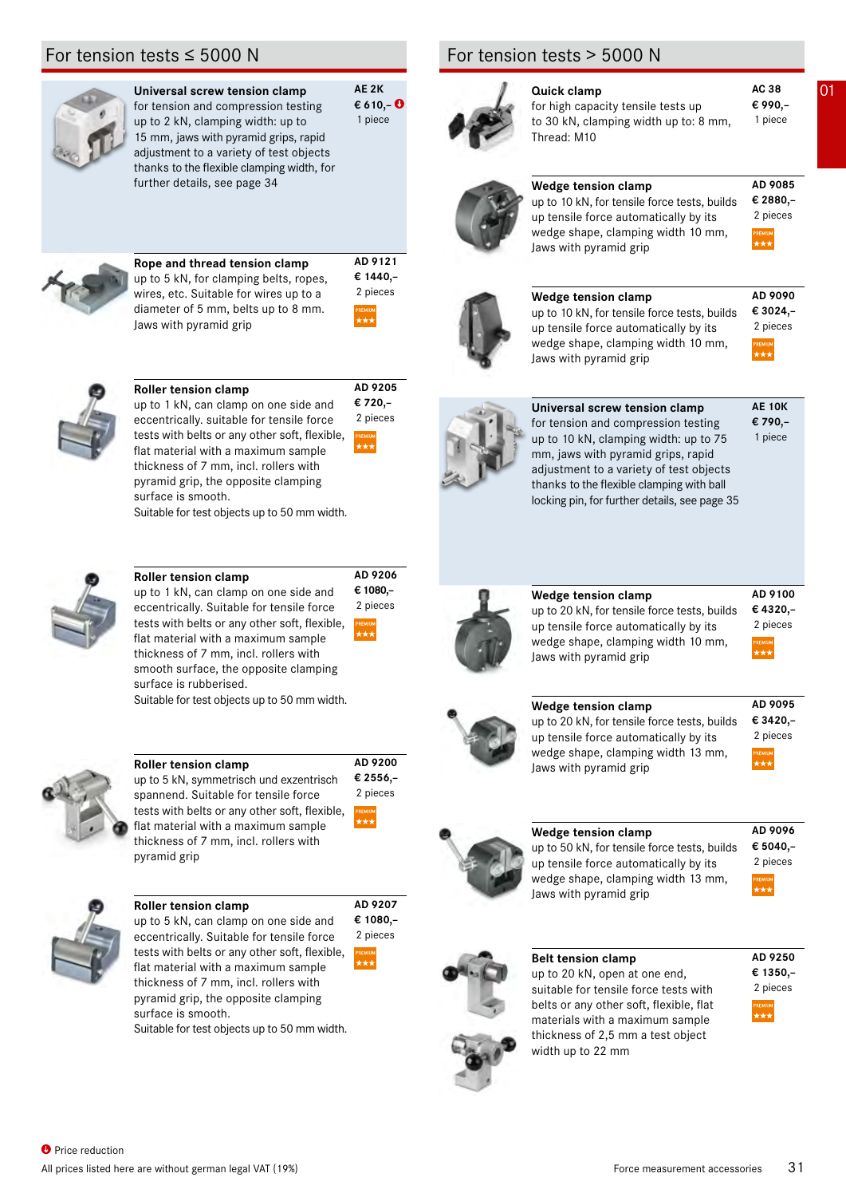

| Universal screw tension clamp              |
|--------------------------------------------|
| for tension and compression testing        |
| up to 2 kN, clamping width: up to          |
| 15 mm, jaws with pyramid grips, rapid      |
| adjustment to a variety of test objects    |
| thanks to the flexible clamping width, for |

further details, see page 34

**€ 610,–**  1 piece



**Rope and thread tension clamp** up to 5 kN, for clamping belts, ropes, wires, etc. Suitable for wires up to a diameter of 5 mm, belts up to 8 mm. Jaws with pyramid grip



**AD 9205 € 720,–**

2 pieces

**AD 9206 € 1080,–**

2 pieces

**AD 9200 € 2556,–**

2 pieces

**AD 9207** 

**AD 9121**



**Roller tension clamp**

up to 1 kN, can clamp on one side and eccentrically. suitable for tensile force tests with belts or any other soft, flexible, flat material with a maximum sample thickness of 7 mm, incl. rollers with pyramid grip, the opposite clamping surface is smooth.

Suitable for test objects up to 50 mm width.



# **Roller tension clamp**

up to 1 kN, can clamp on one side and eccentrically. Suitable for tensile force tests with belts or any other soft, flexible, flat material with a maximum sample thickness of 7 mm, incl. rollers with smooth surface, the opposite clamping surface is rubberised. Suitable for test objects up to 50 mm width.



#### **Roller tension clamp**

up to 5 kN, symmetrisch und exzentrisch spannend. Suitable for tensile force tests with belts or any other soft, flexible, flat material with a maximum sample thickness of 7 mm, incl. rollers with pyramid grip



#### **Roller tension clamp**

**€ 1080,–** up to 5 kN, can clamp on one side and eccentrically. Suitable for tensile force tests with belts or any other soft, flexible, flat material with a maximum sample thickness of 7 mm, incl. rollers with pyramid grip, the opposite clamping surface is smooth. 2 pieces

Suitable for test objects up to 50 mm width.

# For tension tests > 5000 N





#### **AE 2K a C C Quick clamp AC 38 Q1 AC 38 € 990,– AD 9085 € 2880,–** for high capacity tensile tests up to 30 kN, clamping width up to: 8 mm, Thread: M10 1 piece **Wedge tension clamp** up to 10 kN, for tensile force tests, builds up tensile force automatically by its wedge shape, clamping width 10 mm, Jaws with pyramid grip 2 pieces







**AE 10K**

**AD 9090**

| Universal screw tension clamp                 | <b>AE 10K</b> |
|-----------------------------------------------|---------------|
| for tension and compression testing           | € 790,-       |
| up to 10 kN, clamping width: up to 75         | 1 piece       |
| mm, jaws with pyramid grips, rapid            |               |
| adjustment to a variety of test objects       |               |
| thanks to the flexible clamping with ball     |               |
| locking pin, for further details, see page 35 |               |
|                                               |               |



# **Wedge tension clamp**

up to 20 kN, for tensile force tests, builds up tensile force automatically by its wedge shape, clamping width 10 mm, Jaws with pyramid grip

#### **AD 9100 € 4320,–** 2 pieces



# **Wedge tension clamp**



up to 20 kN, for tensile force tests, builds up tensile force automatically by its wedge shape, clamping width 13 mm, Jaws with pyramid grip



# **Wedge tension clamp**

up to 50 kN, for tensile force tests, builds up tensile force automatically by its wedge shape, clamping width 13 mm, Jaws with pyramid grip

**AD 9096 € 5040,–** 2 pieces

**AD 9250 € 1350,–**

2 pieces



**Belt tension clamp** up to 20 kN, open at one end, suitable for tensile force tests with belts or any other soft, flexible, flat materials with a maximum sample thickness of 2,5 mm a test object width up to 22 mm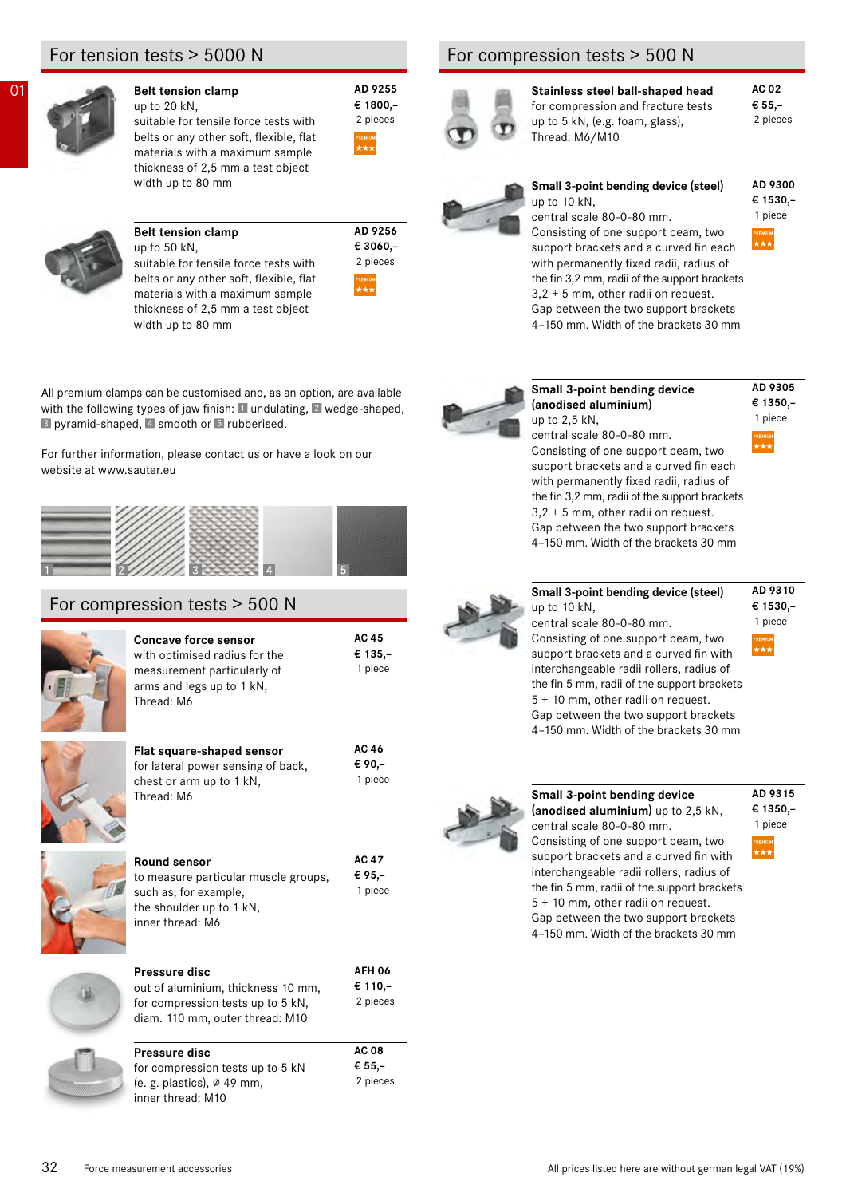# For tension tests > 5000 N



# **D1 Belt tension clamp AD 9255**

up to 20 kN, suitable for tensile force tests with belts or any other soft, flexible, flat materials with a maximum sample thickness of 2,5 mm a test object width up to 80 mm



# **Belt tension clamp**

up to 50 kN, suitable for tensile force tests with belts or any other soft, flexible, flat materials with a maximum sample thickness of 2,5 mm a test object width up to 80 mm

| pieces         |
|----------------|
| <b>PREMIUM</b> |

**AC 45 € 135,–**

1 piece

**AD 9256 € 3060,–**

**€ 1800,–**

2 pieces

All premium clamps can be customised and, as an option, are available with the following types of jaw finish: I undulating, 2 wedge-shaped,  $\blacksquare$  pyramid-shaped,  $\blacksquare$  smooth or  $\blacksquare$  rubberised.

For further information, please contact us or have a look on our website at www.sauter.eu

# For compression tests > 500 N

Thread: M6

**Concave force sensor** with optimised radius for the measurement particularly of arms and legs up to 1 kN, Thread: M6 **Flat square-shaped set** 

| Flat square-shaped sensor          | AC 46   |
|------------------------------------|---------|
| for lateral power sensing of back, | € 90.–  |
| chest or arm up to 1 kN,           | 1 piece |
| Thread: M6                         |         |



| Round sensor                         | AC 47    |
|--------------------------------------|----------|
| to measure particular muscle groups, | € 95,–   |
| such as, for example,                | 1 piece  |
| the shoulder up to 1 kN,             |          |
| inner thread: M6                     |          |
|                                      |          |
| Pressure disc                        | AFH 06   |
|                                      |          |
| out of aluminium, thickness 10 mm,   | € 110,–  |
| for compression tests up to 5 kN,    | 2 pieces |

| Pressure disc                        | <b>AC 08</b> |
|--------------------------------------|--------------|
| for compression tests up to 5 kN     | € 55,–       |
| (e. g. plastics), $\emptyset$ 49 mm, | 2 pieces     |
| inner thread: M10                    |              |

# For compression tests > 500 N



**Stainless steel ball-shaped head** for compression and fracture tests up to 5 kN, (e.g. foam, glass), Thread: M6/M10

#### **Small 3-point bending device (steel)** up to 10 kN,



**AC 02 € 55,–**

2 pieces

central scale 80-0-80 mm. Consisting of one support beam, two support brackets and a curved fin each with permanently fixed radii, radius of the fin 3,2 mm, radii of the support brackets 3,2 + 5 mm, other radii on request. Gap between the two support brackets 4–150 mm. Width of the brackets 30 mm



#### **Small 3-point bending device (anodised aluminium)** up to 2,5 kN,

#### **AD 9305 € 1350,–** 1 piece

**AD 9310 € 1530,–**

1 piece

central scale 80-0-80 mm. Consisting of one support beam, two support brackets and a curved fin each with permanently fixed radii, radius of the fin 3,2 mm, radii of the support brackets 3,2 + 5 mm, other radii on request. Gap between the two support brackets 4–150 mm. Width of the brackets 30 mm



**Small 3-point bending device (steel)** up to 10 kN, central scale 80-0-80 mm. Consisting of one support beam, two support brackets and a curved fin with interchangeable radii rollers, radius of the fin 5 mm, radii of the support brackets 5 + 10 mm, other radii on request. Gap between the two support brackets

4–150 mm. Width of the brackets 30 mm



#### **Small 3-point bending device (anodised aluminium)** up to 2,5 kN, central scale 80-0-80 mm. Consisting of one support beam, two support brackets and a curved fin with interchangeable radii rollers, radius of the fin 5 mm, radii of the support brackets 5 + 10 mm, other radii on request. Gap between the two support brackets 4–150 mm. Width of the brackets 30 mm

### **AD 9315 € 1350,–**

1 piece

32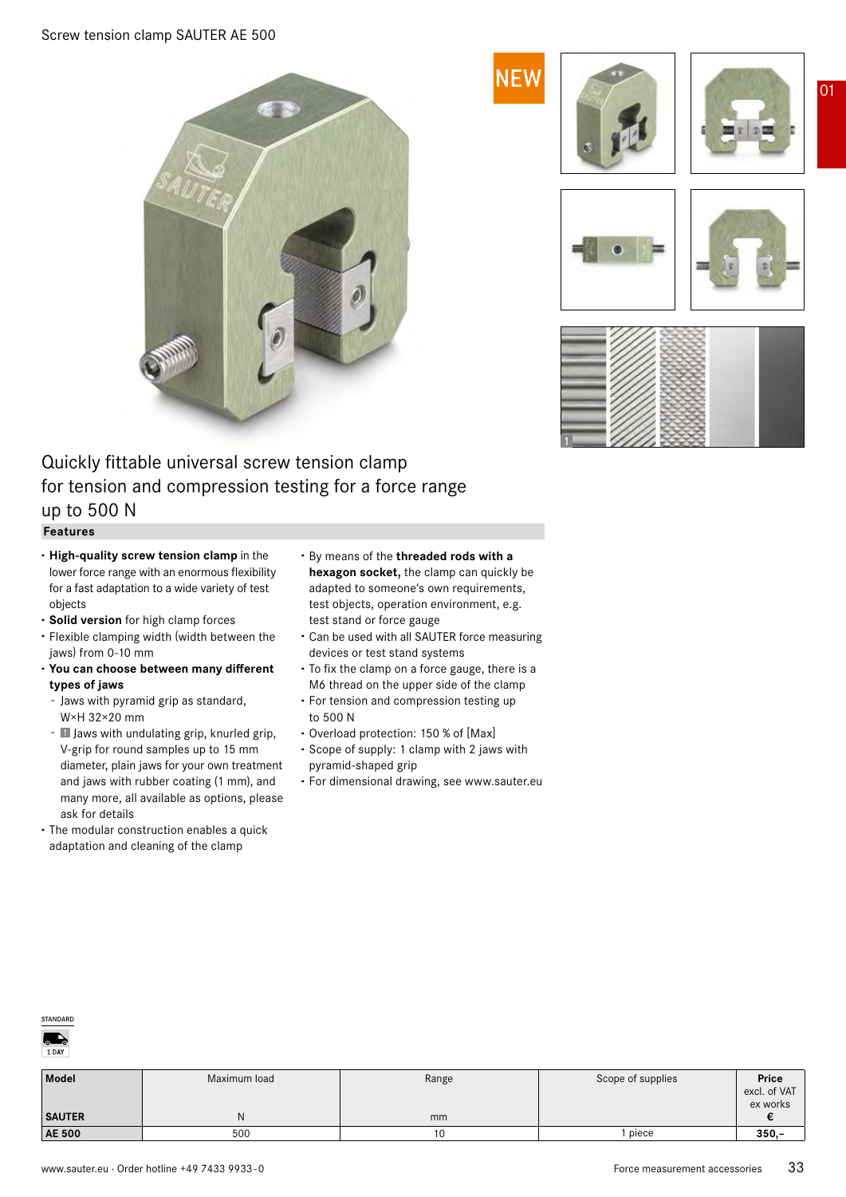

# Quickly fittable universal screw tension clamp for tension and compression testing for a force range up to 500 N

#### **Features**

- **· High-quality screw tension clamp** in the lower force range with an enormous flexibility for a fast adaptation to a wide variety of test objects
- **· Solid version** for high clamp forces
- **·** Flexible clamping width (width between the jaws) from 0-10 mm
- **· You can choose between many different types of jaws**
	- Jaws with pyramid grip as standard, W×H 32×20 mm
- **I** Jaws with undulating grip, knurled grip, V-grip for round samples up to 15 mm diameter, plain jaws for your own treatment and jaws with rubber coating (1 mm), and many more, all available as options, please ask for details
- **·** The modular construction enables a quick adaptation and cleaning of the clamp
- **·** By means of the **threaded rods with a hexagon socket,** the clamp can quickly be adapted to someone's own requirements, test objects, operation environment, e.g. test stand or force gauge
- **·** Can be used with all SAUTER force measuring devices or test stand systems
- **·** To fix the clamp on a force gauge, there is a M6 thread on the upper side of the clamp
- **·** For tension and compression testing up to 500 N
- **·** Overload protection: 150 % of [Max]
- **·** Scope of supply: 1 clamp with 2 jaws with pyramid-shaped grip
- **·** For dimensional drawing, see www.sauter.eu



| <b>Model</b>  | Maximum load | Range | Scope of supplies | Price        |
|---------------|--------------|-------|-------------------|--------------|
|               |              |       |                   | excl. of VAT |
|               |              |       |                   | ex works     |
| <b>SAUTER</b> | ΙN           | mm    |                   |              |
| <b>AE 500</b> | 500          |       | piece             | $350 -$      |





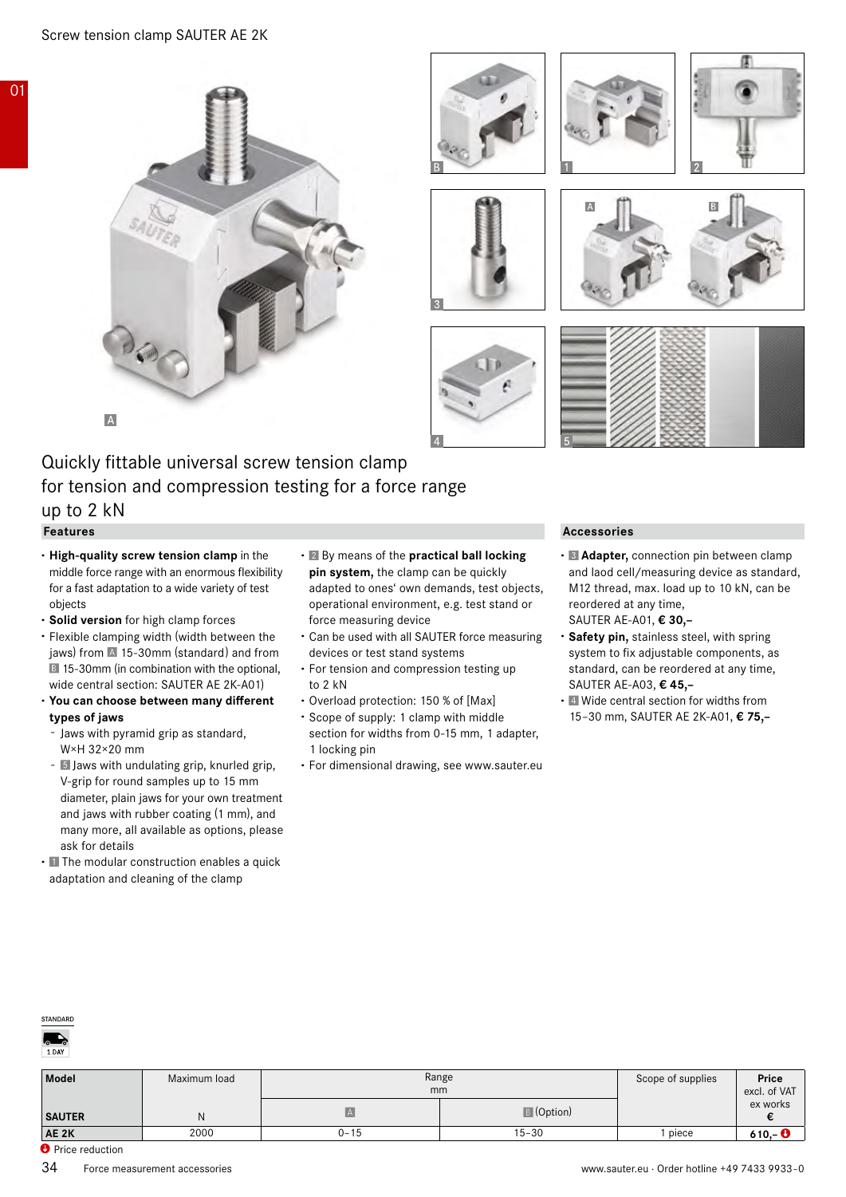













# Quickly fittable universal screw tension clamp for tension and compression testing for a force range up to 2 kN

#### **Features**

01

- **· High-quality screw tension clamp** in the middle force range with an enormous flexibility for a fast adaptation to a wide variety of test objects
- **· Solid version** for high clamp forces
- **·** Flexible clamping width (width between the jaws) from  $\overline{A}$  15-30mm (standard) and from **15-30mm (in combination with the optional,** wide central section: SAUTER AE 2K-A01)
- **· You can choose between many different types of jaws**
	- Jaws with pyramid grip as standard, W×H 32×20 mm
	- 5 Jaws with undulating grip, knurled grip, V-grip for round samples up to 15 mm diameter, plain jaws for your own treatment and jaws with rubber coating (1 mm), and many more, all available as options, please ask for details
- **·** The modular construction enables a quick adaptation and cleaning of the clamp
- **·** By means of the **practical ball locking pin system,** the clamp can be quickly adapted to ones' own demands, test objects, operational environment, e.g. test stand or force measuring device
- **·** Can be used with all SAUTER force measuring devices or test stand systems
- **·** For tension and compression testing up to 2 kN
- **·** Overload protection: 150 % of [Max]
- **·** Scope of supply: 1 clamp with middle section for widths from 0-15 mm, 1 adapter, 1 locking pin
- **·** For dimensional drawing, see www.sauter.eu

#### **Accessories**

- **· Adapter,** connection pin between clamp and laod cell/measuring device as standard, M12 thread, max. load up to 10 kN, can be reordered at any time, SAUTER AE-A01, **€ 30,–**
- **· Safety pin,** stainless steel, with spring system to fix adjustable components, as standard, can be reordered at any time, SAUTER AE-A03, **€ 45,–**
- **·** Wide central section for widths from 15–30 mm, SAUTER AE 2K-A01, **€ 75,–**



| Model         | Maximum load | Range<br>mm  |                   | Scope of supplies | Price<br>excl. of $VAT$ |
|---------------|--------------|--------------|-------------------|-------------------|-------------------------|
| <b>SAUTER</b> |              | $\mathbf{A}$ | <b>B</b> (Option) |                   | ex works                |
| AE 2K         | 2000         | $0 - 15$     | $15 - 30$         | piece             | 610,- $\bullet$         |

**O** Price reduction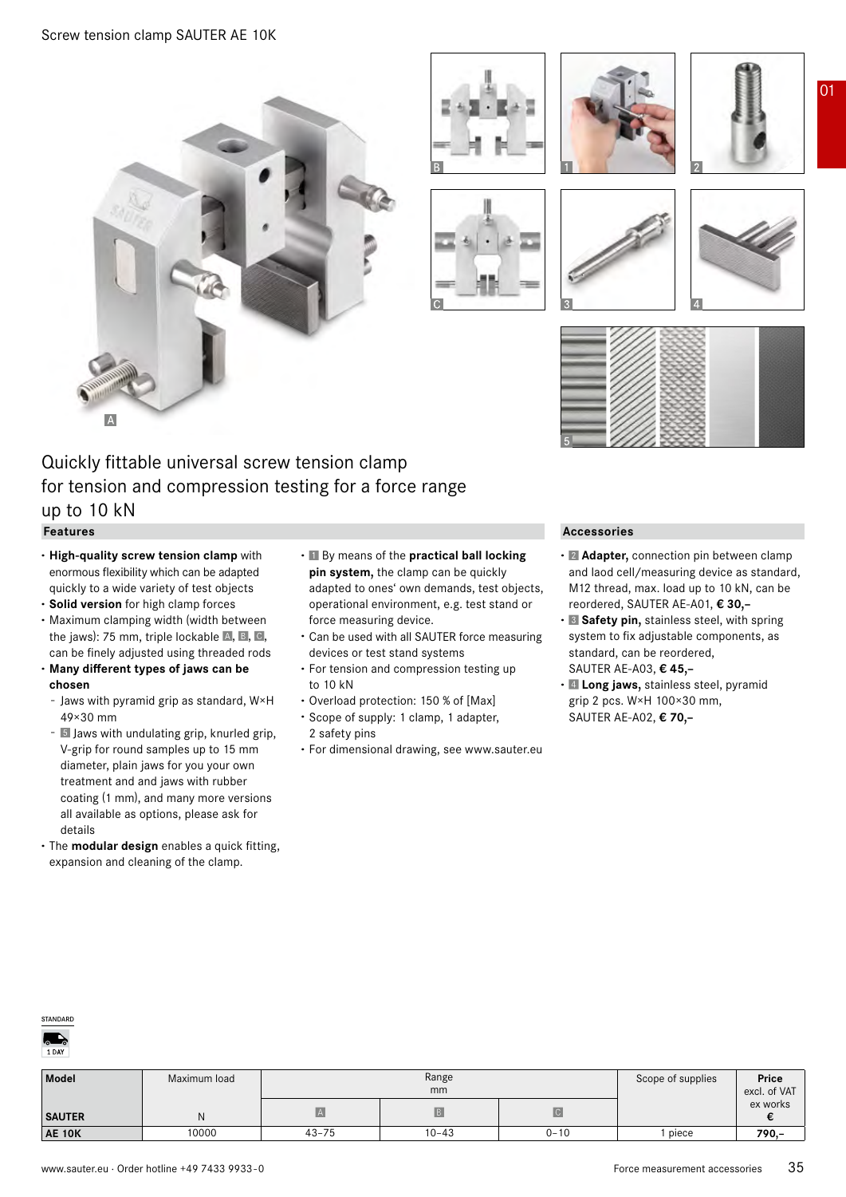













# Quickly fittable universal screw tension clamp for tension and compression testing for a force range up to 10 kN

# **Features**

- **· High-quality screw tension clamp** with enormous flexibility which can be adapted quickly to a wide variety of test objects
- **· Solid version** for high clamp forces
- **·** Maximum clamping width (width between the jaws): 75 mm, triple lockable  $A$ ,  $B$ ,  $C$ , can be finely adjusted using threaded rods

#### **· Many different types of jaws can be chosen**

- Jaws with pyramid grip as standard, W×H 49×30 mm
- 5 Jaws with undulating grip, knurled grip, V-grip for round samples up to 15 mm diameter, plain jaws for you your own treatment and and jaws with rubber coating (1 mm), and many more versions all available as options, please ask for details
- **·** The **modular design** enables a quick fitting, expansion and cleaning of the clamp.
- **·** By means of the **practical ball locking pin system,** the clamp can be quickly adapted to ones' own demands, test objects, operational environment, e.g. test stand or force measuring device.
- **·** Can be used with all SAUTER force measuring devices or test stand systems
- **·** For tension and compression testing up to 10 kN
- **·** Overload protection: 150 % of [Max]
- **·** Scope of supply: 1 clamp, 1 adapter,
- 2 safety pins **·** For dimensional drawing, see www.sauter.eu

#### **Accessories**

- **· Adapter,** connection pin between clamp and laod cell/measuring device as standard, M12 thread, max. load up to 10 kN, can be reordered, SAUTER AE-A01, **€ 30,–**
- **· Safety pin,** stainless steel, with spring system to fix adjustable components, as standard, can be reordered, SAUTER AE-A03, **€ 45,–**
- **· Long jaws,** stainless steel, pyramid grip 2 pcs. W×H 100×30 mm, SAUTER AE-A02, **€ 70,–**



| Model         | Maximum load | Range<br>mm |           |                         | Scope of supplies | Price<br>excl. of VAT |
|---------------|--------------|-------------|-----------|-------------------------|-------------------|-----------------------|
| <b>SAUTER</b> |              |             |           | $\overline{\mathsf{C}}$ |                   | ex works              |
| <b>AE 10K</b> | 0000         | $43 - 75$   | $10 - 43$ | $0 - 10$                | piece             | $790 -$               |

01